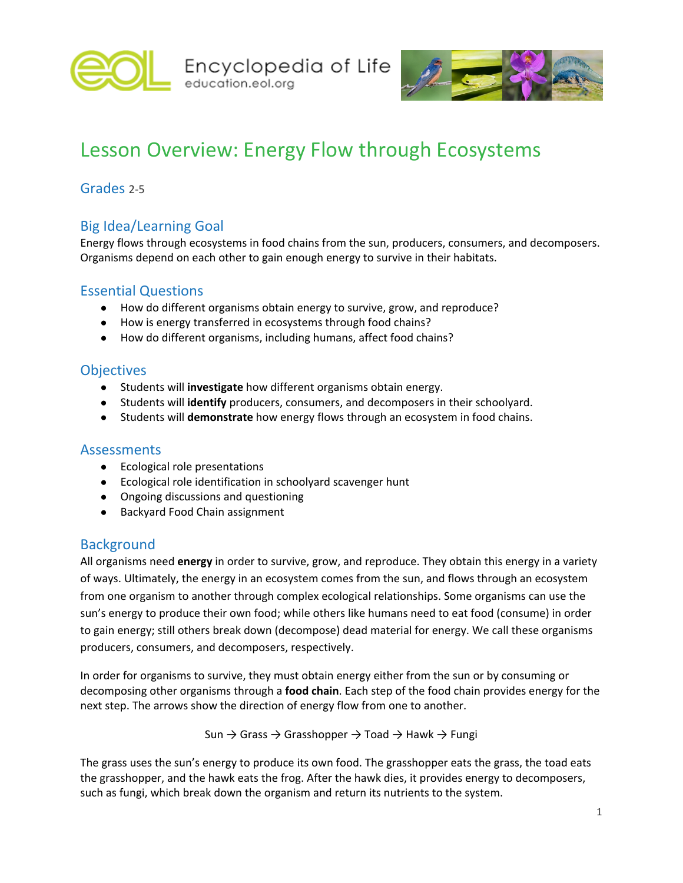



# Lesson Overview: Energy Flow through Ecosystems

## Grades 2-5

# Big Idea/Learning Goal

Energy flows through ecosystems in food chains from the sun, producers, consumers, and decomposers. Organisms depend on each other to gain enough energy to survive in their habitats.

#### Essential Questions

- How do different organisms obtain energy to survive, grow, and reproduce?
- How is energy transferred in ecosystems through food chains?
- How do different organisms, including humans, affect food chains?

#### **Objectives**

- Students will **investigate** how different organisms obtain energy.
- Students will **identify** producers, consumers, and decomposers in their schoolyard.
- Students will **demonstrate** how energy flows through an ecosystem in food chains.

#### Assessments

- Ecological role presentations
- Ecological role identification in schoolyard scavenger hunt
- Ongoing discussions and questioning
- Backyard Food Chain assignment

#### **Background**

All organisms need **energy** in order to survive, grow, and reproduce. They obtain this energy in a variety of ways. Ultimately, the energy in an ecosystem comes from the sun, and flows through an ecosystem from one organism to another through complex ecological relationships. Some organisms can use the sun's energy to produce their own food; while others like humans need to eat food (consume) in order to gain energy; still others break down (decompose) dead material for energy. We call these organisms producers, consumers, and decomposers, respectively.

In order for organisms to survive, they must obtain energy either from the sun or by consuming or decomposing other organisms through a **food chain**. Each step of the food chain provides energy for the next step. The arrows show the direction of energy flow from one to another.

Sun  $\rightarrow$  Grass  $\rightarrow$  Grasshopper  $\rightarrow$  Toad  $\rightarrow$  Hawk  $\rightarrow$  Fungi

The grass uses the sun's energy to produce its own food. The grasshopper eats the grass, the toad eats the grasshopper, and the hawk eats the frog. After the hawk dies, it provides energy to decomposers, such as fungi, which break down the organism and return its nutrients to the system.